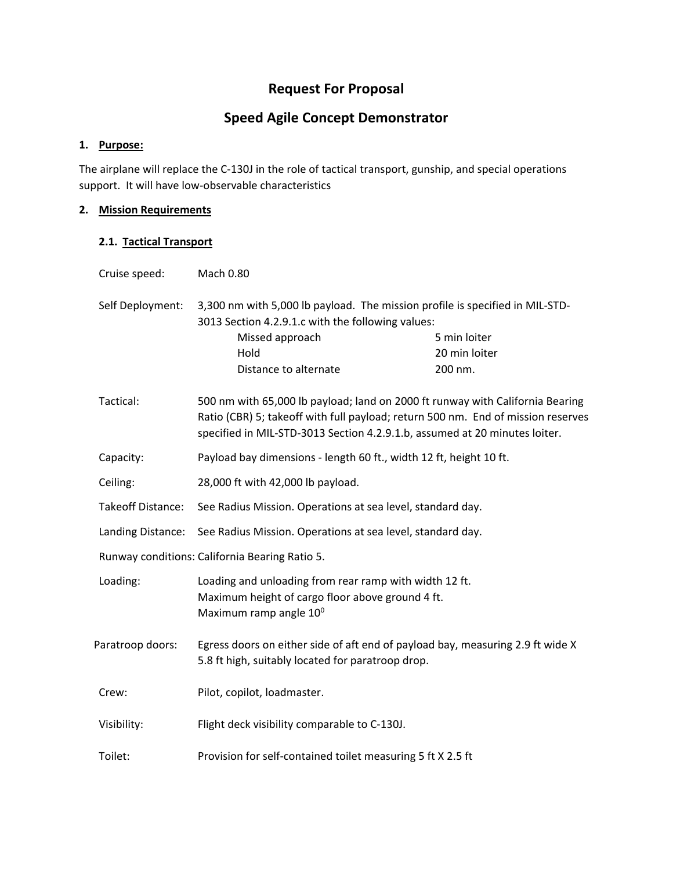## **Request For Proposal**

# **Speed Agile Concept Demonstrator**

### **1. Purpose:**

The airplane will replace the C-130J in the role of tactical transport, gunship, and special operations support. It will have low‐observable characteristics

#### **2. Mission Requirements**

#### **2.1. Tactical Transport**

| Cruise speed:            | <b>Mach 0.80</b>                                                                                                                                                                                                                                |               |
|--------------------------|-------------------------------------------------------------------------------------------------------------------------------------------------------------------------------------------------------------------------------------------------|---------------|
| Self Deployment:         | 3,300 nm with 5,000 lb payload. The mission profile is specified in MIL-STD-<br>3013 Section 4.2.9.1.c with the following values:                                                                                                               |               |
|                          | Missed approach                                                                                                                                                                                                                                 | 5 min loiter  |
|                          | Hold                                                                                                                                                                                                                                            | 20 min loiter |
|                          | Distance to alternate                                                                                                                                                                                                                           | 200 nm.       |
| Tactical:                | 500 nm with 65,000 lb payload; land on 2000 ft runway with California Bearing<br>Ratio (CBR) 5; takeoff with full payload; return 500 nm. End of mission reserves<br>specified in MIL-STD-3013 Section 4.2.9.1.b, assumed at 20 minutes loiter. |               |
| Capacity:                | Payload bay dimensions - length 60 ft., width 12 ft, height 10 ft.                                                                                                                                                                              |               |
| Ceiling:                 | 28,000 ft with 42,000 lb payload.                                                                                                                                                                                                               |               |
| <b>Takeoff Distance:</b> | See Radius Mission. Operations at sea level, standard day.                                                                                                                                                                                      |               |
| Landing Distance:        | See Radius Mission. Operations at sea level, standard day.                                                                                                                                                                                      |               |
|                          | Runway conditions: California Bearing Ratio 5.                                                                                                                                                                                                  |               |
| Loading:                 | Loading and unloading from rear ramp with width 12 ft.<br>Maximum height of cargo floor above ground 4 ft.<br>Maximum ramp angle 10°                                                                                                            |               |
| Paratroop doors:         | Egress doors on either side of aft end of payload bay, measuring 2.9 ft wide X<br>5.8 ft high, suitably located for paratroop drop.                                                                                                             |               |
| Crew:                    | Pilot, copilot, loadmaster.                                                                                                                                                                                                                     |               |
| Visibility:              | Flight deck visibility comparable to C-130J.                                                                                                                                                                                                    |               |
| Toilet:                  | Provision for self-contained toilet measuring 5 ft X 2.5 ft                                                                                                                                                                                     |               |